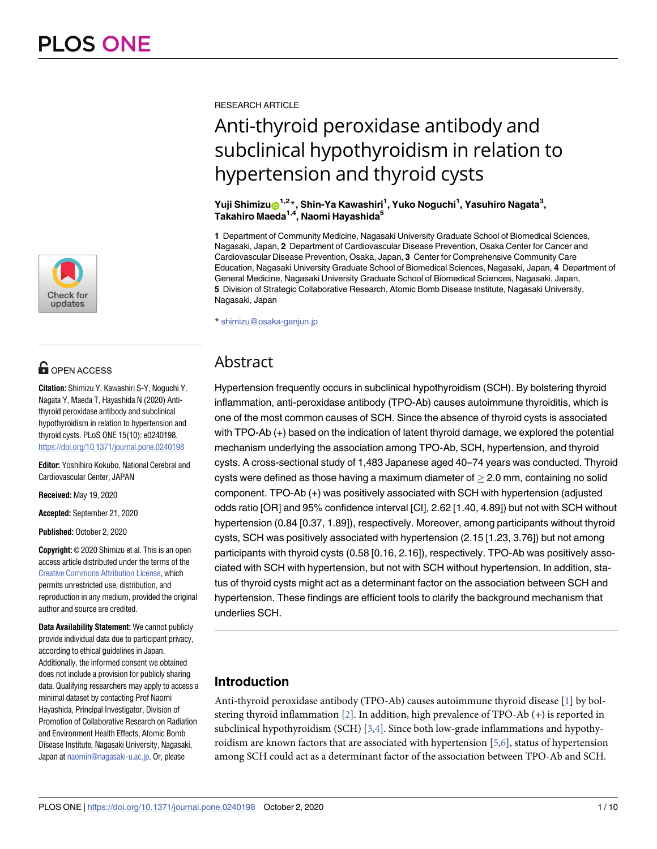

# **OPEN ACCESS**

**Citation:** Shimizu Y, Kawashiri S-Y, Noguchi Y, Nagata Y, Maeda T, Hayashida N (2020) Antithyroid peroxidase antibody and subclinical hypothyroidism in relation to hypertension and thyroid cysts. PLoS ONE 15(10): e0240198. <https://doi.org/10.1371/journal.pone.0240198>

**Editor:** Yoshihiro Kokubo, National Cerebral and Cardiovascular Center, JAPAN

**Received:** May 19, 2020

**Accepted:** September 21, 2020

**Published:** October 2, 2020

**Copyright:** © 2020 Shimizu et al. This is an open access article distributed under the terms of the Creative Commons [Attribution](http://creativecommons.org/licenses/by/4.0/) License, which permits unrestricted use, distribution, and reproduction in any medium, provided the original author and source are credited.

**Data Availability Statement:** We cannot publicly provide individual data due to participant privacy, according to ethical guidelines in Japan. Additionally, the informed consent we obtained does not include a provision for publicly sharing data. Qualifying researchers may apply to access a minimal dataset by contacting Prof Naomi Hayashida, Principal Investigator, Division of Promotion of Collaborative Research on Radiation and Environment Health Effects, Atomic Bomb Disease Institute, Nagasaki University, Nagasaki, Japan at [naomin@nagasaki-u.ac.jp](mailto:naomin@nagasaki-u.ac.jp). Or, please

<span id="page-0-0"></span>RESEARCH ARTICLE

# Anti-thyroid peroxidase antibody and subclinical hypothyroidism in relation to hypertension and thyroid cysts

 $Y$ uji Shimizu $\mathrm{O}^{1,2\,}$ , Shin-Ya Kawashiri<sup>1</sup>, Yuko Noguchi<sup>1</sup>, Yasuhiro Nagata $^3,$ **Takahiro Maeda1,4, Naomi Hayashida5**

**1** Department of Community Medicine, Nagasaki University Graduate School of Biomedical Sciences, Nagasaki, Japan, **2** Department of Cardiovascular Disease Prevention, Osaka Center for Cancer and Cardiovascular Disease Prevention, Osaka, Japan, **3** Center for Comprehensive Community Care Education, Nagasaki University Graduate School of Biomedical Sciences, Nagasaki, Japan, **4** Department of General Medicine, Nagasaki University Graduate School of Biomedical Sciences, Nagasaki, Japan, **5** Division of Strategic Collaborative Research, Atomic Bomb Disease Institute, Nagasaki University, Nagasaki, Japan

\* shimizu@osaka-ganjun.jp

# Abstract

Hypertension frequently occurs in subclinical hypothyroidism (SCH). By bolstering thyroid inflammation, anti-peroxidase antibody (TPO-Ab) causes autoimmune thyroiditis, which is one of the most common causes of SCH. Since the absence of thyroid cysts is associated with TPO-Ab (+) based on the indication of latent thyroid damage, we explored the potential mechanism underlying the association among TPO-Ab, SCH, hypertension, and thyroid cysts. A cross-sectional study of 1,483 Japanese aged 40–74 years was conducted. Thyroid cysts were defined as those having a maximum diameter of  $>$  2.0 mm, containing no solid component. TPO-Ab (+) was positively associated with SCH with hypertension (adjusted odds ratio [OR] and 95% confidence interval [CI], 2.62 [1.40, 4.89]) but not with SCH without hypertension (0.84 [0.37, 1.89]), respectively. Moreover, among participants without thyroid cysts, SCH was positively associated with hypertension (2.15 [1.23, 3.76]) but not among participants with thyroid cysts (0.58 [0.16, 2.16]), respectively. TPO-Ab was positively associated with SCH with hypertension, but not with SCH without hypertension. In addition, status of thyroid cysts might act as a determinant factor on the association between SCH and hypertension. These findings are efficient tools to clarify the background mechanism that underlies SCH.

# **Introduction**

Anti-thyroid peroxidase antibody (TPO-Ab) causes autoimmune thyroid disease [\[1](#page-9-0)] by bolstering thyroid inflammation [[2](#page-9-0)]. In addition, high prevalence of TPO-Ab (+) is reported in subclinical hypothyroidism (SCH) [\[3,4](#page-9-0)]. Since both low-grade inflammations and hypothyroidism are known factors that are associated with hypertension [[5,6\]](#page-9-0), status of hypertension among SCH could act as a determinant factor of the association between TPO-Ab and SCH.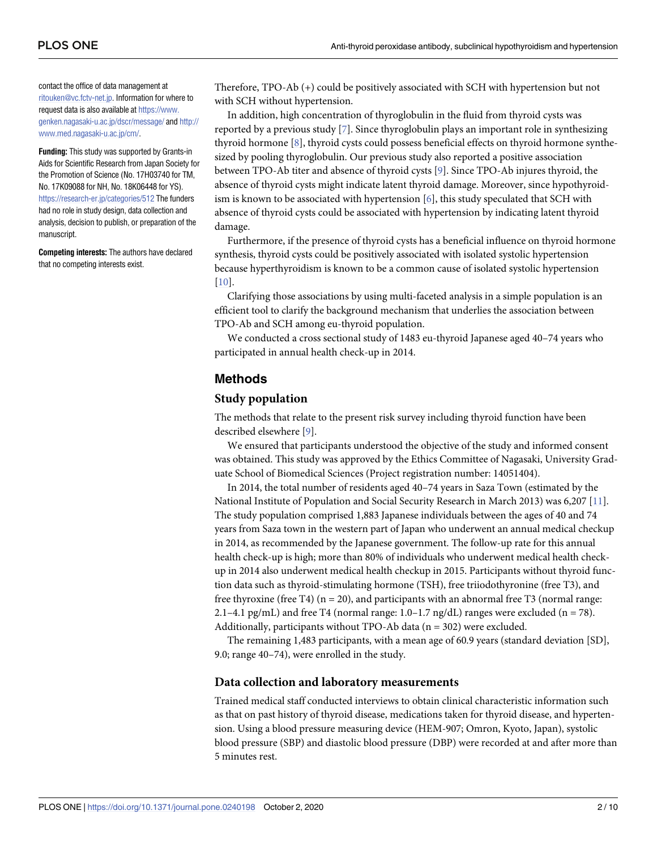<span id="page-1-0"></span>contact the office of data management at [ritouken@vc.fctv-net.jp](mailto:ritouken@vc.fctv-net.jp). Information for where to request data is also available at [https://www.](https://www.genken.nagasaki-u.ac.jp/dscr/message/) [genken.nagasaki-u.ac.jp/dscr/message/](https://www.genken.nagasaki-u.ac.jp/dscr/message/) and [http://](http://www.med.nagasaki-u.ac.jp/cm/) [www.med.nagasaki-u.ac.jp/cm/](http://www.med.nagasaki-u.ac.jp/cm/).

**Funding:** This study was supported by Grants-in Aids for Scientific Research from Japan Society for the Promotion of Science (No. 17H03740 for TM, No. 17K09088 for NH, No. 18K06448 for YS). <https://research-er.jp/categories/512> The funders had no role in study design, data collection and analysis, decision to publish, or preparation of the manuscript.

**Competing interests:** The authors have declared that no competing interests exist.

Therefore, TPO-Ab (+) could be positively associated with SCH with hypertension but not with SCH without hypertension.

In addition, high concentration of thyroglobulin in the fluid from thyroid cysts was reported by a previous study [[7](#page-9-0)]. Since thyroglobulin plays an important role in synthesizing thyroid hormone [\[8](#page-9-0)], thyroid cysts could possess beneficial effects on thyroid hormone synthesized by pooling thyroglobulin. Our previous study also reported a positive association between TPO-Ab titer and absence of thyroid cysts [\[9\]](#page-9-0). Since TPO-Ab injures thyroid, the absence of thyroid cysts might indicate latent thyroid damage. Moreover, since hypothyroidism is known to be associated with hypertension  $[6]$  $[6]$  $[6]$ , this study speculated that SCH with absence of thyroid cysts could be associated with hypertension by indicating latent thyroid damage.

Furthermore, if the presence of thyroid cysts has a beneficial influence on thyroid hormone synthesis, thyroid cysts could be positively associated with isolated systolic hypertension because hyperthyroidism is known to be a common cause of isolated systolic hypertension [\[10\]](#page-9-0).

Clarifying those associations by using multi-faceted analysis in a simple population is an efficient tool to clarify the background mechanism that underlies the association between TPO-Ab and SCH among eu-thyroid population.

We conducted a cross sectional study of 1483 eu-thyroid Japanese aged 40–74 years who participated in annual health check-up in 2014.

### **Methods**

#### **Study population**

The methods that relate to the present risk survey including thyroid function have been described elsewhere [\[9\]](#page-9-0).

We ensured that participants understood the objective of the study and informed consent was obtained. This study was approved by the Ethics Committee of Nagasaki, University Graduate School of Biomedical Sciences (Project registration number: 14051404).

In 2014, the total number of residents aged 40–74 years in Saza Town (estimated by the National Institute of Population and Social Security Research in March 2013) was 6,207 [\[11\]](#page-9-0). The study population comprised 1,883 Japanese individuals between the ages of 40 and 74 years from Saza town in the western part of Japan who underwent an annual medical checkup in 2014, as recommended by the Japanese government. The follow-up rate for this annual health check-up is high; more than 80% of individuals who underwent medical health checkup in 2014 also underwent medical health checkup in 2015. Participants without thyroid function data such as thyroid-stimulating hormone (TSH), free triiodothyronine (free T3), and free thyroxine (free T4)  $(n = 20)$ , and participants with an abnormal free T3 (normal range: 2.1–4.1 pg/mL) and free T4 (normal range:  $1.0-1.7$  ng/dL) ranges were excluded (n = 78). Additionally, participants without TPO-Ab data ( $n = 302$ ) were excluded.

The remaining 1,483 participants, with a mean age of 60.9 years (standard deviation [SD], 9.0; range 40–74), were enrolled in the study.

#### **Data collection and laboratory measurements**

Trained medical staff conducted interviews to obtain clinical characteristic information such as that on past history of thyroid disease, medications taken for thyroid disease, and hypertension. Using a blood pressure measuring device (HEM-907; Omron, Kyoto, Japan), systolic blood pressure (SBP) and diastolic blood pressure (DBP) were recorded at and after more than 5 minutes rest.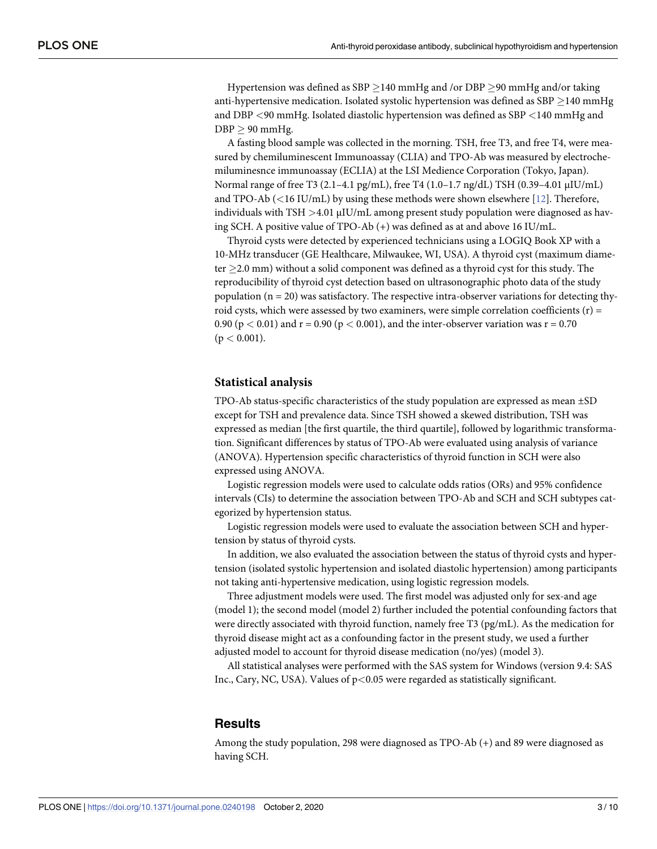<span id="page-2-0"></span>Hypertension was defined as SBP  $>$ 140 mmHg and /or DBP  $>$ 90 mmHg and/or taking anti-hypertensive medication. Isolated systolic hypertension was defined as SBP  $\geq$  140 mmHg and DBP *<*90 mmHg. Isolated diastolic hypertension was defined as SBP *<*140 mmHg and  $DBP > 90$  mmHg.

A fasting blood sample was collected in the morning. TSH, free T3, and free T4, were measured by chemiluminescent Immunoassay (CLIA) and TPO-Ab was measured by electrochemiluminesnce immunoassay (ECLIA) at the LSI Medience Corporation (Tokyo, Japan). Normal range of free T3 (2.1–4.1 pg/mL), free T4 (1.0–1.7 ng/dL) TSH (0.39–4.01 μIU/mL) and TPO-Ab (*<*16 IU/mL) by using these methods were shown elsewhere [\[12\]](#page-9-0). Therefore, individuals with TSH *>*4.01 μIU/mL among present study population were diagnosed as having SCH. A positive value of TPO-Ab (+) was defined as at and above 16 IU/mL.

Thyroid cysts were detected by experienced technicians using a LOGIQ Book XP with a 10-MHz transducer (GE Healthcare, Milwaukee, WI, USA). A thyroid cyst (maximum diameter  $\geq$  2.0 mm) without a solid component was defined as a thyroid cyst for this study. The reproducibility of thyroid cyst detection based on ultrasonographic photo data of the study population  $(n = 20)$  was satisfactory. The respective intra-observer variations for detecting thyroid cysts, which were assessed by two examiners, were simple correlation coefficients (r) = 0.90 ( $p < 0.01$ ) and  $r = 0.90$  ( $p < 0.001$ ), and the inter-observer variation was  $r = 0.70$  $(p < 0.001)$ .

#### **Statistical analysis**

TPO-Ab status-specific characteristics of the study population are expressed as mean ±SD except for TSH and prevalence data. Since TSH showed a skewed distribution, TSH was expressed as median [the first quartile, the third quartile], followed by logarithmic transformation. Significant differences by status of TPO-Ab were evaluated using analysis of variance (ANOVA). Hypertension specific characteristics of thyroid function in SCH were also expressed using ANOVA.

Logistic regression models were used to calculate odds ratios (ORs) and 95% confidence intervals (CIs) to determine the association between TPO-Ab and SCH and SCH subtypes categorized by hypertension status.

Logistic regression models were used to evaluate the association between SCH and hypertension by status of thyroid cysts.

In addition, we also evaluated the association between the status of thyroid cysts and hypertension (isolated systolic hypertension and isolated diastolic hypertension) among participants not taking anti-hypertensive medication, using logistic regression models.

Three adjustment models were used. The first model was adjusted only for sex-and age (model 1); the second model (model 2) further included the potential confounding factors that were directly associated with thyroid function, namely free T3 (pg/mL). As the medication for thyroid disease might act as a confounding factor in the present study, we used a further adjusted model to account for thyroid disease medication (no/yes) (model 3).

All statistical analyses were performed with the SAS system for Windows (version 9.4: SAS Inc., Cary, NC, USA). Values of p*<*0.05 were regarded as statistically significant.

#### **Results**

Among the study population, 298 were diagnosed as TPO-Ab (+) and 89 were diagnosed as having SCH.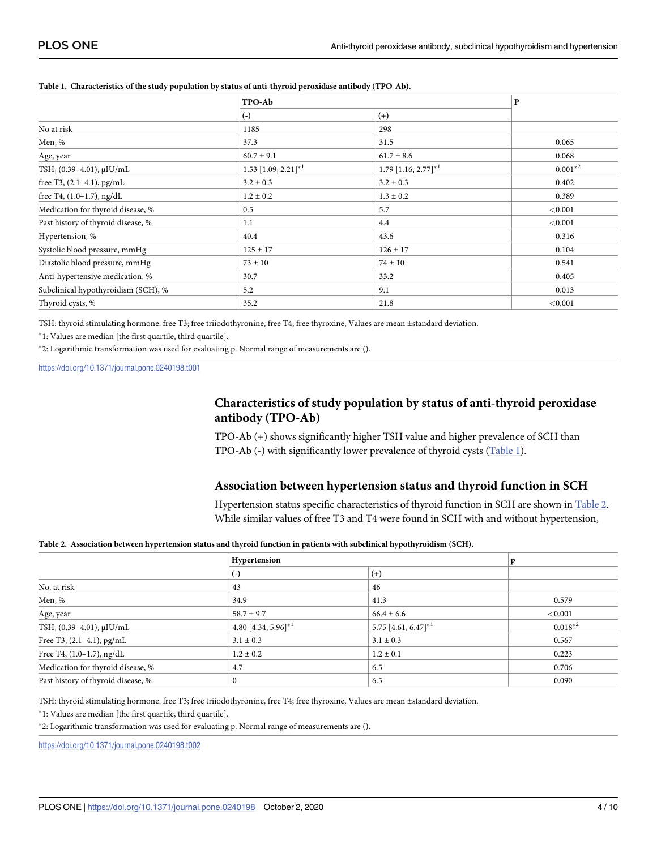|                                     | TPO-Ab                               |                                      | $\bf P$    |  |
|-------------------------------------|--------------------------------------|--------------------------------------|------------|--|
|                                     | $(\cdot)$                            | $(+)$                                |            |  |
| No at risk                          | 1185                                 | 298                                  |            |  |
| Men, %                              | 37.3                                 | 31.5                                 | 0.065      |  |
| Age, year                           | $60.7 \pm 9.1$                       | $61.7 \pm 8.6$                       | 0.068      |  |
| TSH, (0.39-4.01), µIU/mL            | $1.53$ [1.09, $2.21$ ] <sup>*1</sup> | $1.79$ [1.16, $2.77$ ] <sup>*1</sup> | $0.001*^2$ |  |
| free T3, $(2.1-4.1)$ , pg/mL        | $3.2 \pm 0.3$                        | $3.2 \pm 0.3$                        | 0.402      |  |
| free T4, $(1.0-1.7)$ , ng/dL        | $1.2 \pm 0.2$                        | $1.3 \pm 0.2$                        | 0.389      |  |
| Medication for thyroid disease, %   | 0.5                                  | 5.7                                  | < 0.001    |  |
| Past history of thyroid disease, %  | 1.1                                  | 4.4                                  | < 0.001    |  |
| Hypertension, %                     | 40.4                                 | 43.6                                 | 0.316      |  |
| Systolic blood pressure, mmHg       | $125 \pm 17$                         | $126 \pm 17$                         | 0.104      |  |
| Diastolic blood pressure, mmHg      | $73 \pm 10$                          | $74 \pm 10$                          | 0.541      |  |
| Anti-hypertensive medication, %     | 30.7                                 | 33.2                                 | 0.405      |  |
| Subclinical hypothyroidism (SCH), % | 5.2                                  | 9.1                                  | 0.013      |  |
| Thyroid cysts, %                    | 35.2                                 | 21.8                                 | < 0.001    |  |

#### <span id="page-3-0"></span>**Table 1. Characteristics of the study population by status of anti-thyroid peroxidase antibody (TPO-Ab).**

TSH: thyroid stimulating hormone. free T3; free triiodothyronine, free T4; free thyroxine, Values are mean ±standard deviation.

�1: Values are median [the first quartile, third quartile].

�2: Logarithmic transformation was used for evaluating p. Normal range of measurements are ().

<https://doi.org/10.1371/journal.pone.0240198.t001>

# **Characteristics of study population by status of anti-thyroid peroxidase antibody (TPO-Ab)**

TPO-Ab (+) shows significantly higher TSH value and higher prevalence of SCH than TPO-Ab (-) with significantly lower prevalence of thyroid cysts (Table 1).

#### **Association between hypertension status and thyroid function in SCH**

Hypertension status specific characteristics of thyroid function in SCH are shown in Table 2. While similar values of free T3 and T4 were found in SCH with and without hypertension,

#### Table 2. Association between hypertension status and thyroid function in patients with subclinical hypothyroidism (SCH).

|                                    | Hypertension                       |                                 |              |  |
|------------------------------------|------------------------------------|---------------------------------|--------------|--|
|                                    | $(-)$                              | $(+)$                           |              |  |
| No. at risk                        | 43                                 | 46                              |              |  |
| Men, %                             | 34.9                               | 41.3                            | 0.579        |  |
| Age, year                          | $58.7 \pm 9.7$                     | $66.4 \pm 6.6$                  | ${<}0.001$   |  |
| TSH, (0.39-4.01), µIU/mL           | 4.80 [4.34, 5.96] $*$ <sup>1</sup> | 5.75 [4.61, 6.47] <sup>*1</sup> | $0.018^{*2}$ |  |
| Free T3, (2.1-4.1), pg/mL          | $3.1 \pm 0.3$                      | $3.1 \pm 0.3$                   | 0.567        |  |
| Free T4, $(1.0-1.7)$ , ng/dL       | $1.2 \pm 0.2$                      | $1.2 \pm 0.1$                   | 0.223        |  |
| Medication for thyroid disease, %  | 4.7                                | 6.5                             | 0.706        |  |
| Past history of thyroid disease, % | $\Omega$                           | 6.5                             | 0.090        |  |

TSH: thyroid stimulating hormone. free T3; free triiodothyronine, free T4; free thyroxine, Values are mean ±standard deviation.

�1: Values are median [the first quartile, third quartile].

�2: Logarithmic transformation was used for evaluating p. Normal range of measurements are ().

<https://doi.org/10.1371/journal.pone.0240198.t002>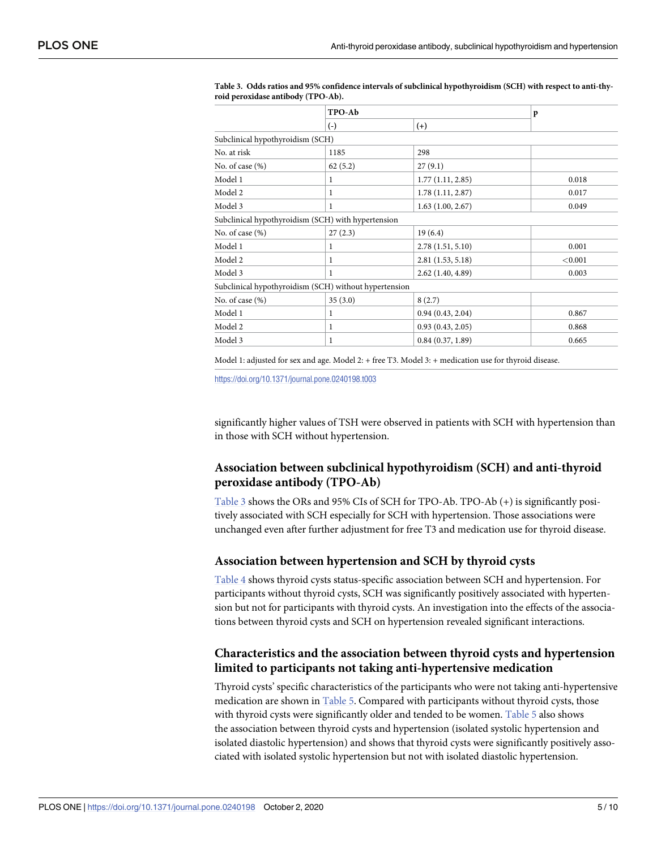|                                                    | TPO-Ab                                                |                  | p       |  |  |
|----------------------------------------------------|-------------------------------------------------------|------------------|---------|--|--|
|                                                    | $(-)$                                                 | $(+)$            |         |  |  |
| Subclinical hypothyroidism (SCH)                   |                                                       |                  |         |  |  |
| No. at risk                                        | 1185                                                  | 298              |         |  |  |
| No. of case (%)                                    | 62(5.2)                                               | 27(9.1)          |         |  |  |
| Model 1                                            | 1                                                     | 1.77(1.11, 2.85) | 0.018   |  |  |
| Model 2                                            | 1                                                     | 1.78(1.11, 2.87) | 0.017   |  |  |
| Model 3                                            | 1                                                     | 1.63(1.00, 2.67) | 0.049   |  |  |
| Subclinical hypothyroidism (SCH) with hypertension |                                                       |                  |         |  |  |
| No. of case (%)                                    | 27(2.3)                                               | 19(6.4)          |         |  |  |
| Model 1                                            | 1                                                     | 2.78(1.51, 5.10) | 0.001   |  |  |
| Model 2                                            | 1                                                     | 2.81(1.53, 5.18) | < 0.001 |  |  |
| Model 3                                            | 1                                                     | 2.62(1.40, 4.89) | 0.003   |  |  |
|                                                    | Subclinical hypothyroidism (SCH) without hypertension |                  |         |  |  |
| No. of case (%)                                    | 35(3.0)                                               | 8(2.7)           |         |  |  |
| Model 1                                            | 1                                                     | 0.94(0.43, 2.04) | 0.867   |  |  |
| Model 2                                            | 1                                                     | 0.93(0.43, 2.05) | 0.868   |  |  |
| Model 3                                            | 1                                                     | 0.84(0.37, 1.89) | 0.665   |  |  |

<span id="page-4-0"></span>**Table 3. Odds ratios and 95% confidence intervals of subclinical hypothyroidism (SCH) with respect to anti-thyroid peroxidase antibody (TPO-Ab).**

Model 1: adjusted for sex and age. Model 2: + free T3. Model 3: + medication use for thyroid disease.

<https://doi.org/10.1371/journal.pone.0240198.t003>

significantly higher values of TSH were observed in patients with SCH with hypertension than in those with SCH without hypertension.

# **Association between subclinical hypothyroidism (SCH) and anti-thyroid peroxidase antibody (TPO-Ab)**

Table 3 shows the ORs and 95% CIs of SCH for TPO-Ab. TPO-Ab (+) is significantly positively associated with SCH especially for SCH with hypertension. Those associations were unchanged even after further adjustment for free T3 and medication use for thyroid disease.

# **Association between hypertension and SCH by thyroid cysts**

[Table](#page-5-0) 4 shows thyroid cysts status-specific association between SCH and hypertension. For participants without thyroid cysts, SCH was significantly positively associated with hypertension but not for participants with thyroid cysts. An investigation into the effects of the associations between thyroid cysts and SCH on hypertension revealed significant interactions.

# **Characteristics and the association between thyroid cysts and hypertension limited to participants not taking anti-hypertensive medication**

Thyroid cysts' specific characteristics of the participants who were not taking anti-hypertensive medication are shown in [Table](#page-5-0) 5. Compared with participants without thyroid cysts, those with thyroid cysts were significantly older and tended to be women. [Table](#page-5-0) 5 also shows the association between thyroid cysts and hypertension (isolated systolic hypertension and isolated diastolic hypertension) and shows that thyroid cysts were significantly positively associated with isolated systolic hypertension but not with isolated diastolic hypertension.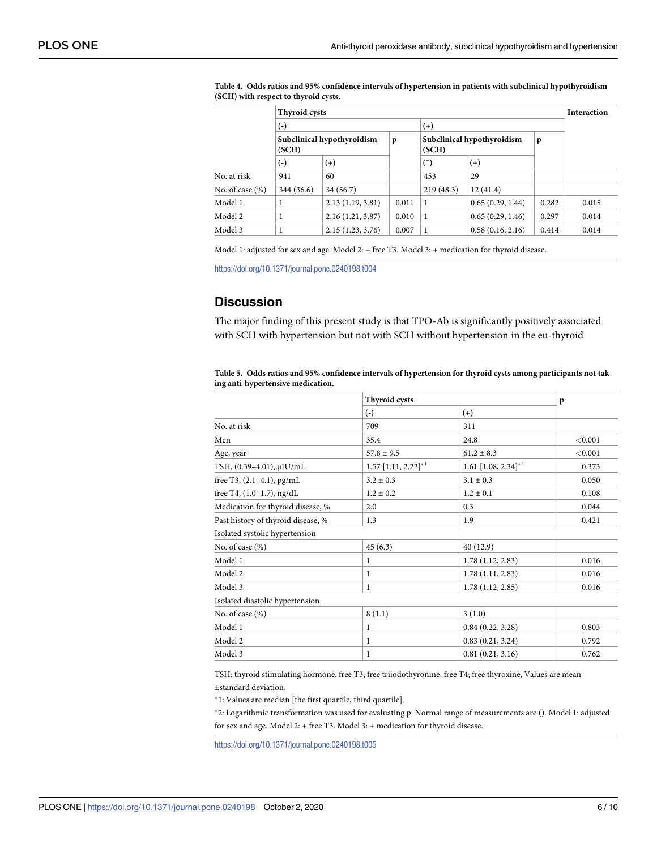|                 | <b>Thyroid cysts</b> |                            |              |                                     |                  |       | <b>Interaction</b> |
|-----------------|----------------------|----------------------------|--------------|-------------------------------------|------------------|-------|--------------------|
|                 | $(\textnormal{-})$   |                            | $(+)$        |                                     |                  |       |                    |
|                 | (SCH)                | Subclinical hypothyroidism | $\mathbf{p}$ | Subclinical hypothyroidism<br>(SCH) |                  | p     |                    |
|                 | $(\text{-})$         | $(+)$                      |              | $(\bar{\ })$                        | $^{(+)}$         |       |                    |
| No. at risk     | 941                  | 60                         |              | 453                                 | 29               |       |                    |
| No. of case (%) | 344 (36.6)           | 34 (56.7)                  |              | 219(48.3)                           | 12(41.4)         |       |                    |
| Model 1         | 1                    | 2.13(1.19, 3.81)           | 0.011        | 1                                   | 0.65(0.29, 1.44) | 0.282 | 0.015              |
| Model 2         |                      | 2.16(1.21, 3.87)           | 0.010        |                                     | 0.65(0.29, 1.46) | 0.297 | 0.014              |
| Model 3         |                      | 2.15(1.23, 3.76)           | 0.007        |                                     | 0.58(0.16, 2.16) | 0.414 | 0.014              |
|                 |                      |                            |              |                                     |                  |       |                    |

<span id="page-5-0"></span>**[Table](#page-4-0) 4. Odds ratios and 95% confidence intervals of hypertension in patients with subclinical hypothyroidism (SCH) with respect to thyroid cysts.**

Model 1: adjusted for sex and age. Model 2: + free T3. Model 3: + medication for thyroid disease.

<https://doi.org/10.1371/journal.pone.0240198.t004>

# **Discussion**

The major finding of this present study is that TPO-Ab is significantly positively associated with SCH with hypertension but not with SCH without hypertension in the eu-thyroid

|                                    | <b>Thyroid cysts</b>                 | $\mathbf{p}$             |         |
|------------------------------------|--------------------------------------|--------------------------|---------|
|                                    | $\left( -\right)$                    | $(+)$                    |         |
| No. at risk                        | 709                                  | 311                      |         |
| Men                                | 35.4                                 | 24.8                     | < 0.001 |
| Age, year                          | $57.8 \pm 9.5$                       | $61.2 \pm 8.3$           | < 0.001 |
| TSH, (0.39-4.01), µIU/mL           | $1.57$ [1.11, $2.22$ ] <sup>*1</sup> | 1.61 $[1.08, 2.34]^{*1}$ | 0.373   |
| free T3, (2.1-4.1), pg/mL          | $3.2 \pm 0.3$                        | $3.1 \pm 0.3$            | 0.050   |
| free T4, (1.0-1.7), ng/dL          | $1.2 \pm 0.2$                        | $1.2 \pm 0.1$            | 0.108   |
| Medication for thyroid disease, %  | 2.0                                  | 0.3                      | 0.044   |
| Past history of thyroid disease, % | 1.3                                  | 1.9                      | 0.421   |
| Isolated systolic hypertension     |                                      |                          |         |
| No. of case (%)                    | 45(6.3)                              | 40 (12.9)                |         |
| Model 1                            | 1                                    | 1.78(1.12, 2.83)         | 0.016   |
| Model 2                            | 1                                    | 1.78(1.11, 2.83)         | 0.016   |
| Model 3                            | 1                                    | 1.78(1.12, 2.85)         | 0.016   |
| Isolated diastolic hypertension    |                                      |                          |         |
| No. of case (%)                    | 8(1.1)                               | 3(1.0)                   |         |
| Model 1                            | 1                                    | 0.84(0.22, 3.28)         | 0.803   |
| Model 2                            | 1                                    | 0.83(0.21, 3.24)         | 0.792   |
| Model 3                            | 1                                    | 0.81(0.21, 3.16)         | 0.762   |

[Table](#page-4-0) 5. Odds ratios and 95% confidence intervals of hypertension for thyroid cysts among participants not tak**ing anti-hypertensive medication.**

TSH: thyroid stimulating hormone. free T3; free triiodothyronine, free T4; free thyroxine, Values are mean ±standard deviation.

�1: Values are median [the first quartile, third quartile].

�2: Logarithmic transformation was used for evaluating p. Normal range of measurements are (). Model 1: adjusted for sex and age. Model 2: + free T3. Model 3: + medication for thyroid disease.

<https://doi.org/10.1371/journal.pone.0240198.t005>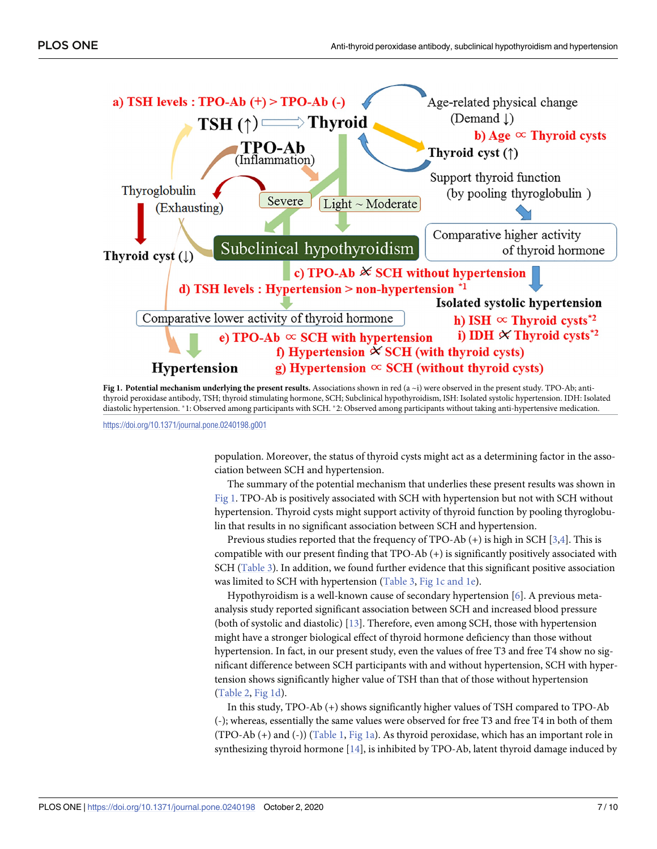<span id="page-6-0"></span>

**Fig 1. Potential mechanism underlying the present results.** Associations shown in red (a ~i) were observed in the present study. TPO-Ab; antithyroid peroxidase antibody, TSH; thyroid stimulating hormone, SCH; Subclinical hypothyroidism, ISH: Isolated systolic hypertension. IDH: Isolated diastolic hypertension. \*1: Observed among participants with SCH. \*2: Observed among participants without taking anti-hypertensive medication.

<https://doi.org/10.1371/journal.pone.0240198.g001>

population. Moreover, the status of thyroid cysts might act as a determining factor in the association between SCH and hypertension.

The summary of the potential mechanism that underlies these present results was shown in Fig 1. TPO-Ab is positively associated with SCH with hypertension but not with SCH without hypertension. Thyroid cysts might support activity of thyroid function by pooling thyroglobulin that results in no significant association between SCH and hypertension.

Previous studies reported that the frequency of TPO-Ab (+) is high in SCH [\[3,4\]](#page-9-0). This is compatible with our present finding that TPO-Ab (+) is significantly positively associated with SCH ([Table](#page-4-0) 3). In addition, we found further evidence that this significant positive association was limited to SCH with hypertension [\(Table](#page-4-0) 3, Fig 1c and 1e).

Hypothyroidism is a well-known cause of secondary hypertension [\[6\]](#page-9-0). A previous metaanalysis study reported significant association between SCH and increased blood pressure (both of systolic and diastolic) [\[13\]](#page-9-0). Therefore, even among SCH, those with hypertension might have a stronger biological effect of thyroid hormone deficiency than those without hypertension. In fact, in our present study, even the values of free T3 and free T4 show no significant difference between SCH participants with and without hypertension, SCH with hypertension shows significantly higher value of TSH than that of those without hypertension [\(Table](#page-3-0) 2, Fig 1d).

In this study, TPO-Ab (+) shows significantly higher values of TSH compared to TPO-Ab (-); whereas, essentially the same values were observed for free T3 and free T4 in both of them (TPO-Ab (+) and (-)) ([Table](#page-3-0) 1, Fig 1a). As thyroid peroxidase, which has an important role in synthesizing thyroid hormone  $[14]$  $[14]$  $[14]$ , is inhibited by TPO-Ab, latent thyroid damage induced by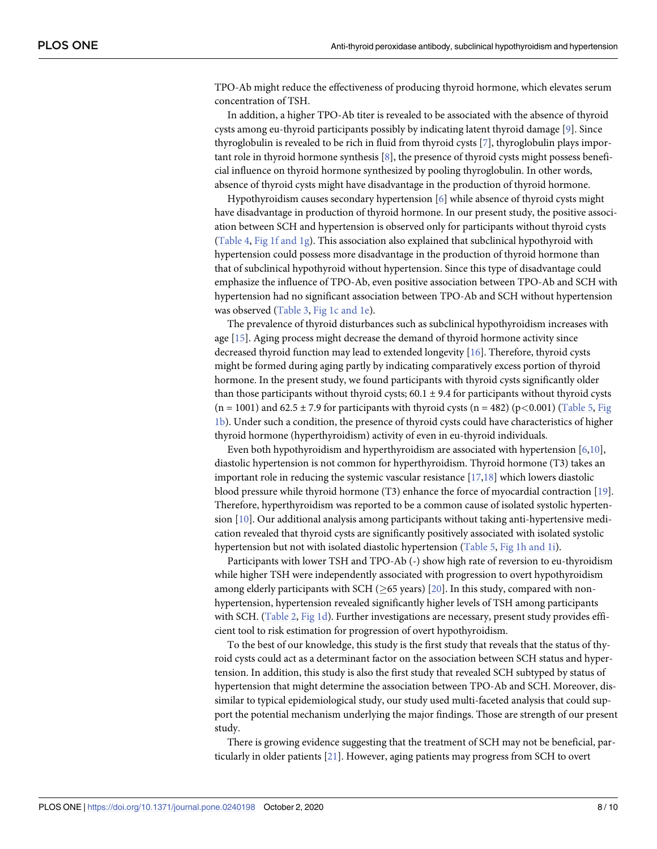<span id="page-7-0"></span>TPO-Ab might reduce the effectiveness of producing thyroid hormone, which elevates serum concentration of TSH.

In addition, a higher TPO-Ab titer is revealed to be associated with the absence of thyroid cysts among eu-thyroid participants possibly by indicating latent thyroid damage [\[9](#page-9-0)]. Since thyroglobulin is revealed to be rich in fluid from thyroid cysts [\[7\]](#page-9-0), thyroglobulin plays important role in thyroid hormone synthesis  $[8]$  $[8]$  $[8]$ , the presence of thyroid cysts might possess beneficial influence on thyroid hormone synthesized by pooling thyroglobulin. In other words, absence of thyroid cysts might have disadvantage in the production of thyroid hormone.

Hypothyroidism causes secondary hypertension [\[6\]](#page-9-0) while absence of thyroid cysts might have disadvantage in production of thyroid hormone. In our present study, the positive association between SCH and hypertension is observed only for participants without thyroid cysts [\(Table](#page-5-0) 4, Fig 1f [and](#page-6-0) 1g). This association also explained that subclinical hypothyroid with hypertension could possess more disadvantage in the production of thyroid hormone than that of subclinical hypothyroid without hypertension. Since this type of disadvantage could emphasize the influence of TPO-Ab, even positive association between TPO-Ab and SCH with hypertension had no significant association between TPO-Ab and SCH without hypertension was observed [\(Table](#page-4-0) 3, Fig 1c [and](#page-6-0) 1e).

The prevalence of thyroid disturbances such as subclinical hypothyroidism increases with age [[15](#page-9-0)]. Aging process might decrease the demand of thyroid hormone activity since decreased thyroid function may lead to extended longevity [\[16\]](#page-9-0). Therefore, thyroid cysts might be formed during aging partly by indicating comparatively excess portion of thyroid hormone. In the present study, we found participants with thyroid cysts significantly older than those participants without thyroid cysts;  $60.1 \pm 9.4$  for participants without thyroid cysts  $(n = 1001)$  and  $62.5 \pm 7.9$  for participants with thyroid cysts  $(n = 482)$  (p $<0.001$ ) ([Table](#page-5-0) 5, [Fig](#page-6-0) [1b\)](#page-6-0). Under such a condition, the presence of thyroid cysts could have characteristics of higher thyroid hormone (hyperthyroidism) activity of even in eu-thyroid individuals.

Even both hypothyroidism and hyperthyroidism are associated with hypertension [[6](#page-9-0),[10](#page-9-0)], diastolic hypertension is not common for hyperthyroidism. Thyroid hormone (T3) takes an important role in reducing the systemic vascular resistance [\[17,18](#page-9-0)] which lowers diastolic blood pressure while thyroid hormone (T3) enhance the force of myocardial contraction [\[19\]](#page-9-0). Therefore, hyperthyroidism was reported to be a common cause of isolated systolic hypertension [\[10\]](#page-9-0). Our additional analysis among participants without taking anti-hypertensive medication revealed that thyroid cysts are significantly positively associated with isolated systolic hypertension but not with isolated diastolic hypertension [\(Table](#page-5-0) 5, Fig 1h [and](#page-6-0) 1i).

Participants with lower TSH and TPO-Ab (-) show high rate of reversion to eu-thyroidism while higher TSH were independently associated with progression to overt hypothyroidism among elderly participants with SCH ( $\geq$ 65 years) [\[20\]](#page-9-0). In this study, compared with nonhypertension, hypertension revealed significantly higher levels of TSH among participants with SCH. ([Table](#page-3-0) 2, [Fig](#page-6-0) 1d). Further investigations are necessary, present study provides efficient tool to risk estimation for progression of overt hypothyroidism.

To the best of our knowledge, this study is the first study that reveals that the status of thyroid cysts could act as a determinant factor on the association between SCH status and hypertension. In addition, this study is also the first study that revealed SCH subtyped by status of hypertension that might determine the association between TPO-Ab and SCH. Moreover, dissimilar to typical epidemiological study, our study used multi-faceted analysis that could support the potential mechanism underlying the major findings. Those are strength of our present study.

There is growing evidence suggesting that the treatment of SCH may not be beneficial, particularly in older patients [\[21\]](#page-9-0). However, aging patients may progress from SCH to overt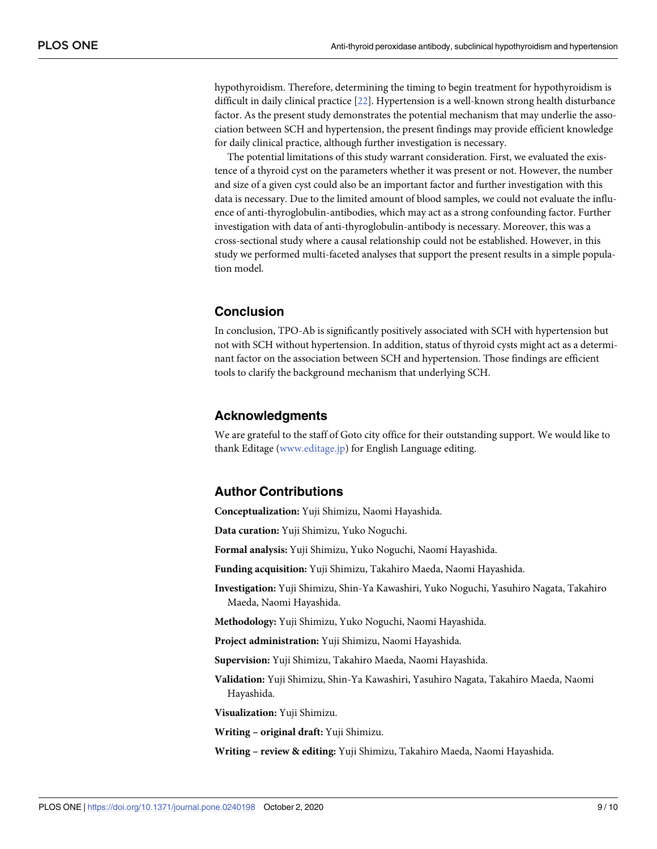<span id="page-8-0"></span>hypothyroidism. Therefore, determining the timing to begin treatment for hypothyroidism is difficult in daily clinical practice [\[22\]](#page-9-0). Hypertension is a well-known strong health disturbance factor. As the present study demonstrates the potential mechanism that may underlie the association between SCH and hypertension, the present findings may provide efficient knowledge for daily clinical practice, although further investigation is necessary.

The potential limitations of this study warrant consideration. First, we evaluated the existence of a thyroid cyst on the parameters whether it was present or not. However, the number and size of a given cyst could also be an important factor and further investigation with this data is necessary. Due to the limited amount of blood samples, we could not evaluate the influence of anti-thyroglobulin-antibodies, which may act as a strong confounding factor. Further investigation with data of anti-thyroglobulin-antibody is necessary. Moreover, this was a cross-sectional study where a causal relationship could not be established. However, in this study we performed multi-faceted analyses that support the present results in a simple population model.

# **Conclusion**

In conclusion, TPO-Ab is significantly positively associated with SCH with hypertension but not with SCH without hypertension. In addition, status of thyroid cysts might act as a determinant factor on the association between SCH and hypertension. Those findings are efficient tools to clarify the background mechanism that underlying SCH.

# **Acknowledgments**

We are grateful to the staff of Goto city office for their outstanding support. We would like to thank Editage ([www.editage.jp\)](http://www.editage.jp) for English Language editing.

# **Author Contributions**

**Conceptualization:** Yuji Shimizu, Naomi Hayashida.

**Data curation:** Yuji Shimizu, Yuko Noguchi.

**Formal analysis:** Yuji Shimizu, Yuko Noguchi, Naomi Hayashida.

**Funding acquisition:** Yuji Shimizu, Takahiro Maeda, Naomi Hayashida.

**Investigation:** Yuji Shimizu, Shin-Ya Kawashiri, Yuko Noguchi, Yasuhiro Nagata, Takahiro Maeda, Naomi Hayashida.

**Methodology:** Yuji Shimizu, Yuko Noguchi, Naomi Hayashida.

**Project administration:** Yuji Shimizu, Naomi Hayashida.

**Supervision:** Yuji Shimizu, Takahiro Maeda, Naomi Hayashida.

**Validation:** Yuji Shimizu, Shin-Ya Kawashiri, Yasuhiro Nagata, Takahiro Maeda, Naomi Hayashida.

**Visualization:** Yuji Shimizu.

**Writing – original draft:** Yuji Shimizu.

**Writing – review & editing:** Yuji Shimizu, Takahiro Maeda, Naomi Hayashida.